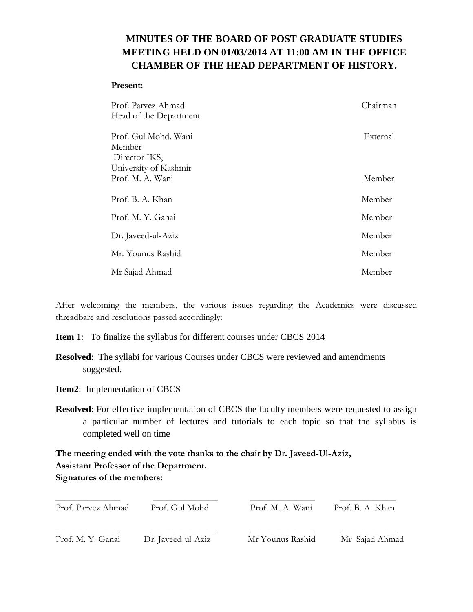## **MINUTES OF THE BOARD OF POST GRADUATE STUDIES MEETING HELD ON 01/03/2014 AT 11:00 AM IN THE OFFICE CHAMBER OF THE HEAD DEPARTMENT OF HISTORY.**

## **Present:**

| Prof. Parvez Ahmad<br>Head of the Department    | Chairman |
|-------------------------------------------------|----------|
| Prof. Gul Mohd. Wani<br>Member<br>Director IKS, | External |
| University of Kashmir<br>Prof. M. A. Wani       | Member   |
| Prof. B. A. Khan                                | Member   |
| Prof. M. Y. Ganai                               | Member   |
| Dr. Javeed-ul-Aziz                              | Member   |
| Mr. Younus Rashid                               | Member   |
| Mr Sajad Ahmad                                  | Member   |

After welcoming the members, the various issues regarding the Academics were discussed threadbare and resolutions passed accordingly:

**Item** 1: To finalize the syllabus for different courses under CBCS 2014

- **Resolved**: The syllabi for various Courses under CBCS were reviewed and amendments suggested.
- **Item2**: Implementation of CBCS
- **Resolved**: For effective implementation of CBCS the faculty members were requested to assign a particular number of lectures and tutorials to each topic so that the syllabus is completed well on time

**The meeting ended with the vote thanks to the chair by Dr. Javeed-Ul-Aziz, Assistant Professor of the Department. Signatures of the members:**

| Prof. Parvez Ahmad | Prof. Gul Mohd     | Prof. M. A. Wani | Prof. B. A. Khan |  |
|--------------------|--------------------|------------------|------------------|--|
| Prof. M. Y. Ganai  | Dr. Javeed-ul-Aziz | Mr Younus Rashid | Mr Sajad Ahmad   |  |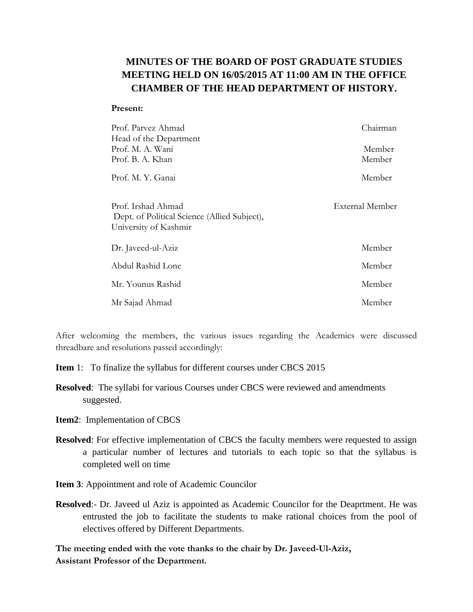## **MINUTES OF THE BOARD OF POST GRADUATE STUDIES MEETING HELD ON 16/05/2015 AT 11:00 AM IN THE OFFICE CHAMBER OF THE HEAD DEPARTMENT OF HISTORY.**

## **Present:**

| Prof. Parvez Ahmad                                                                          | Chairman        |
|---------------------------------------------------------------------------------------------|-----------------|
| Head of the Department                                                                      |                 |
| Prof. M. A. Wani                                                                            | Member          |
| Prof. B. A. Khan                                                                            | Member          |
| Prof. M. Y. Ganai                                                                           | Member          |
| Prof. Irshad Ahmad<br>Dept. of Political Science (Allied Subject),<br>University of Kashmir | External Member |
| Dr. Javeed-ul-Aziz                                                                          | Member          |
| Abdul Rashid Lone                                                                           | Member          |
| Mr. Younus Rashid                                                                           | Member          |
| Mr Sajad Ahmad                                                                              | Member          |

After welcoming the members, the various issues regarding the Academics were discussed threadbare and resolutions passed accordingly:

- **Item** 1: To finalize the syllabus for different courses under CBCS 2015
- **Resolved**: The syllabi for various Courses under CBCS were reviewed and amendments suggested.
- **Item2**: Implementation of CBCS
- **Resolved**: For effective implementation of CBCS the faculty members were requested to assign a particular number of lectures and tutorials to each topic so that the syllabus is completed well on time
- **Item 3**: Appointment and role of Academic Councilor
- **Resolved**:- Dr. Javeed ul Aziz is appointed as Academic Councilor for the Deaprtment. He was entrusted the job to facilitate the students to make rational choices from the pool of electives offered by Different Departments.

**The meeting ended with the vote thanks to the chair by Dr. Javeed-Ul-Aziz, Assistant Professor of the Department.**